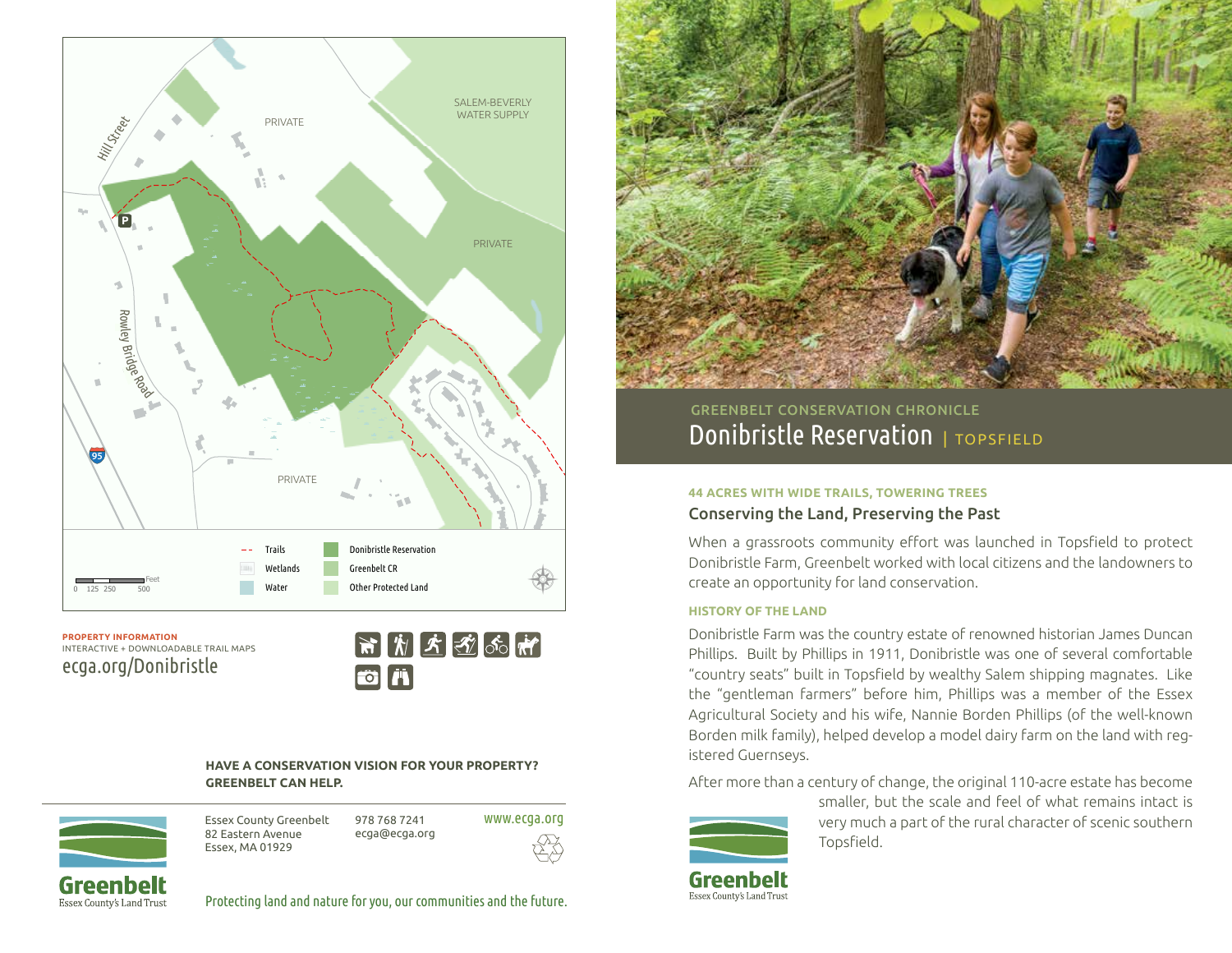

**PROPERTY INFORMATION** INTERACTIVE + DOWNLOADABLE TRAIL MAPS ecga.org/Donibristle



### **HAVE A CONSERVATION VISION FOR YOUR PROPERTY? GREENBELT CAN HELP.**



Essex County Greenbelt 82 Eastern Avenue Essex, MA 01929 978 768 7241 ecga@ecga.org www.ecga.org



Protecting land and nature for you, our communities and the future.



Donibristle Reservation | TOPSFIELD GREENBELT CONSERVATION CHRONICLE

#### **44 ACRES WITH WIDE TRAILS, TOWERING TREES**

# Conserving the Land, Preserving the Past

When a grassroots community effort was launched in Topsfield to protect Donibristle Farm, Greenbelt worked with local citizens and the landowners to create an opportunity for land conservation.

#### **HISTORY OF THE LAND**

Donibristle Farm was the country estate of renowned historian James Duncan Phillips. Built by Phillips in 1911, Donibristle was one of several comfortable "country seats" built in Topsfield by wealthy Salem shipping magnates. Like the "gentleman farmers" before him, Phillips was a member of the Essex Agricultural Society and his wife, Nannie Borden Phillips (of the well-known Borden milk family), helped develop a model dairy farm on the land with registered Guernseys.

After more than a century of change, the original 110-acre estate has become



smaller, but the scale and feel of what remains intact is very much a part of the rural character of scenic southern Topsfield.

Greenbelt Essex County's Land Trust